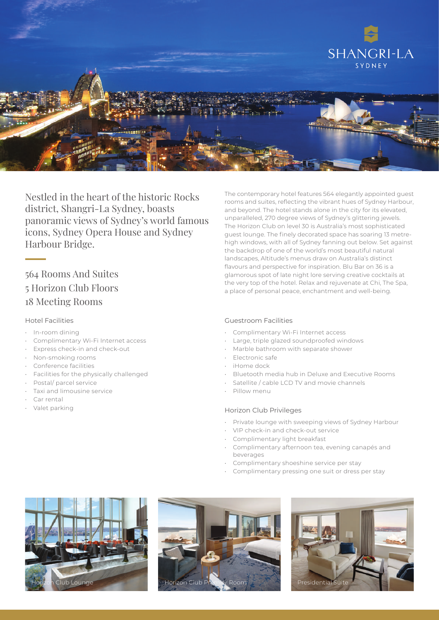

Nestled in the heart of the historic Rocks district, Shangri-La Sydney, boasts panoramic views of Sydney's world famous icons, Sydney Opera House and Sydney Harbour Bridge.

# 564 Rooms And Suites 5 Horizon Club Floors 18 Meeting Rooms

#### Hotel Facilities

- In-room dining
- Complimentary Wi-Fi Internet access
- Express check-in and check-out
- Non-smoking rooms
- Conference facilities
- Facilities for the physically challenged
- Postal/ parcel service
- Taxi and limousine service
- Car rental
- Valet parking

The contemporary hotel features 564 elegantly appointed guest rooms and suites, reflecting the vibrant hues of Sydney Harbour, and beyond. The hotel stands alone in the city for its elevated, unparalleled, 270 degree views of Sydney's glittering jewels. The Horizon Club on level 30 is Australia's most sophisticated guest lounge. The finely decorated space has soaring 13 metrehigh windows, with all of Sydney fanning out below. Set against the backdrop of one of the world's most beautiful natural landscapes, Altitude's menus draw on Australia's distinct flavours and perspective for inspiration. Blu Bar on 36 is a glamorous spot of late night lore serving creative cocktails at the very top of the hotel. Relax and rejuvenate at Chi, The Spa, a place of personal peace, enchantment and well-being.

#### Guestroom Facilities

- Complimentary Wi-Fi Internet access
- Large, triple glazed soundproofed windows
- Marble bathroom with separate shower
- Electronic safe
- iHome dock
- Bluetooth media hub in Deluxe and Executive Rooms
- Satellite / cable LCD TV and movie channels
- Pillow menu

#### Horizon Club Privileges

- Private lounge with sweeping views of Sydney Harbour
- VIP check-in and check-out service
- Complimentary light breakfast
- Complimentary afternoon tea, evening canapés and beverages
- Complimentary shoeshine service per stay
- Complimentary pressing one suit or dress per stay